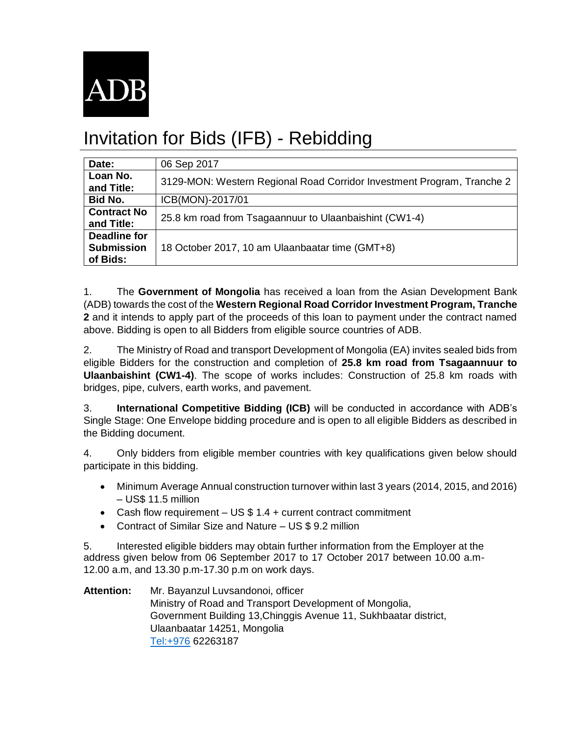

## Invitation for Bids (IFB) - Rebidding

| Date:                                         | 06 Sep 2017                                                            |
|-----------------------------------------------|------------------------------------------------------------------------|
| Loan No.<br>and Title:                        | 3129-MON: Western Regional Road Corridor Investment Program, Tranche 2 |
| <b>Bid No.</b>                                | ICB(MON)-2017/01                                                       |
| <b>Contract No</b><br>and Title:              | 25.8 km road from Tsagaannuur to Ulaanbaishint (CW1-4)                 |
| Deadline for<br><b>Submission</b><br>of Bids: | 18 October 2017, 10 am Ulaanbaatar time (GMT+8)                        |

1. The **Government of Mongolia** has received a loan from the Asian Development Bank (ADB) towards the cost of the **Western Regional Road Corridor Investment Program, Tranche 2** and it intends to apply part of the proceeds of this loan to payment under the contract named above. Bidding is open to all Bidders from eligible source countries of ADB.

2. The Ministry of Road and transport Development of Mongolia (EA) invites sealed bids from eligible Bidders for the construction and completion of **25.8 km road from Tsagaannuur to Ulaanbaishint (CW1-4)**. The scope of works includes: Construction of 25.8 km roads with bridges, pipe, culvers, earth works, and pavement.

3. **International Competitive Bidding (ICB)** will be conducted in accordance with ADB's Single Stage: One Envelope bidding procedure and is open to all eligible Bidders as described in the Bidding document.

4. Only bidders from eligible member countries with key qualifications given below should participate in this bidding.

- Minimum Average Annual construction turnover within last 3 years (2014, 2015, and 2016) – US\$ 11.5 million
- Cash flow requirement US \$ 1.4 + current contract commitment
- Contract of Similar Size and Nature US \$ 9.2 million

5. Interested eligible bidders may obtain further information from the Employer at the address given below from 06 September 2017 to 17 October 2017 between 10.00 a.m-12.00 a.m, and 13.30 p.m-17.30 p.m on work days.

**Attention:** Mr. Bayanzul Luvsandonoi, officer Ministry of Road and Transport Development of Mongolia, Government Building 13,Chinggis Avenue 11, Sukhbaatar district, Ulaanbaatar 14251, Mongolia [Tel:+976](tel:+976) 62263187